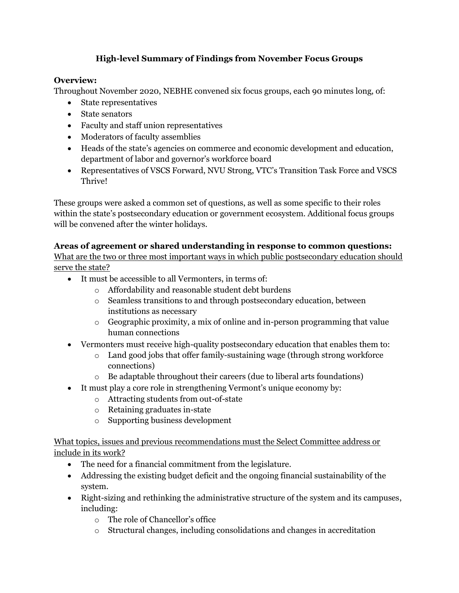# **High-level Summary of Findings from November Focus Groups**

### **Overview:**

Throughout November 2020, NEBHE convened six focus groups, each 90 minutes long, of:

- State representatives
- State senators
- Faculty and staff union representatives
- Moderators of faculty assemblies
- Heads of the state's agencies on commerce and economic development and education, department of labor and governor's workforce board
- Representatives of VSCS Forward, NVU Strong, VTC's Transition Task Force and VSCS Thrive!

These groups were asked a common set of questions, as well as some specific to their roles within the state's postsecondary education or government ecosystem. Additional focus groups will be convened after the winter holidays.

#### **Areas of agreement or shared understanding in response to common questions:**

What are the two or three most important ways in which public postsecondary education should serve the state?

- It must be accessible to all Vermonters, in terms of:
	- o Affordability and reasonable student debt burdens
	- o Seamless transitions to and through postsecondary education, between institutions as necessary
	- $\circ$  Geographic proximity, a mix of online and in-person programming that value human connections
- Vermonters must receive high-quality postsecondary education that enables them to:
	- $\circ$  Land good jobs that offer family-sustaining wage (through strong workforce connections)
	- o Be adaptable throughout their careers (due to liberal arts foundations)
- It must play a core role in strengthening Vermont's unique economy by:
	- o Attracting students from out-of-state
	- o Retaining graduates in-state
	- o Supporting business development

What topics, issues and previous recommendations must the Select Committee address or include in its work?

- The need for a financial commitment from the legislature.
- Addressing the existing budget deficit and the ongoing financial sustainability of the system.
- Right-sizing and rethinking the administrative structure of the system and its campuses, including:
	- o The role of Chancellor's office
	- $\circ$  Structural changes, including consolidations and changes in accreditation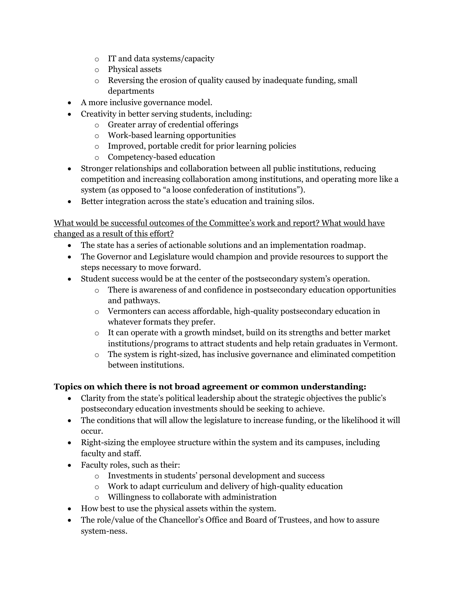- o IT and data systems/capacity
- o Physical assets
- o Reversing the erosion of quality caused by inadequate funding, small departments
- A more inclusive governance model.
- Creativity in better serving students, including:
	- o Greater array of credential offerings
	- o Work-based learning opportunities
	- o Improved, portable credit for prior learning policies
	- o Competency-based education
- Stronger relationships and collaboration between all public institutions, reducing competition and increasing collaboration among institutions, and operating more like a system (as opposed to "a loose confederation of institutions").
- Better integration across the state's education and training silos.

### What would be successful outcomes of the Committee's work and report? What would have changed as a result of this effort?

- The state has a series of actionable solutions and an implementation roadmap.
- The Governor and Legislature would champion and provide resources to support the steps necessary to move forward.
- Student success would be at the center of the postsecondary system's operation.
	- o There is awareness of and confidence in postsecondary education opportunities and pathways.
	- o Vermonters can access affordable, high-quality postsecondary education in whatever formats they prefer.
	- o It can operate with a growth mindset, build on its strengths and better market institutions/programs to attract students and help retain graduates in Vermont.
	- o The system is right-sized, has inclusive governance and eliminated competition between institutions.

# **Topics on which there is not broad agreement or common understanding:**

- Clarity from the state's political leadership about the strategic objectives the public's postsecondary education investments should be seeking to achieve.
- The conditions that will allow the legislature to increase funding, or the likelihood it will occur.
- Right-sizing the employee structure within the system and its campuses, including faculty and staff.
- Faculty roles, such as their:
	- o Investments in students' personal development and success
	- o Work to adapt curriculum and delivery of high-quality education
	- o Willingness to collaborate with administration
- How best to use the physical assets within the system.
- The role/value of the Chancellor's Office and Board of Trustees, and how to assure system-ness.